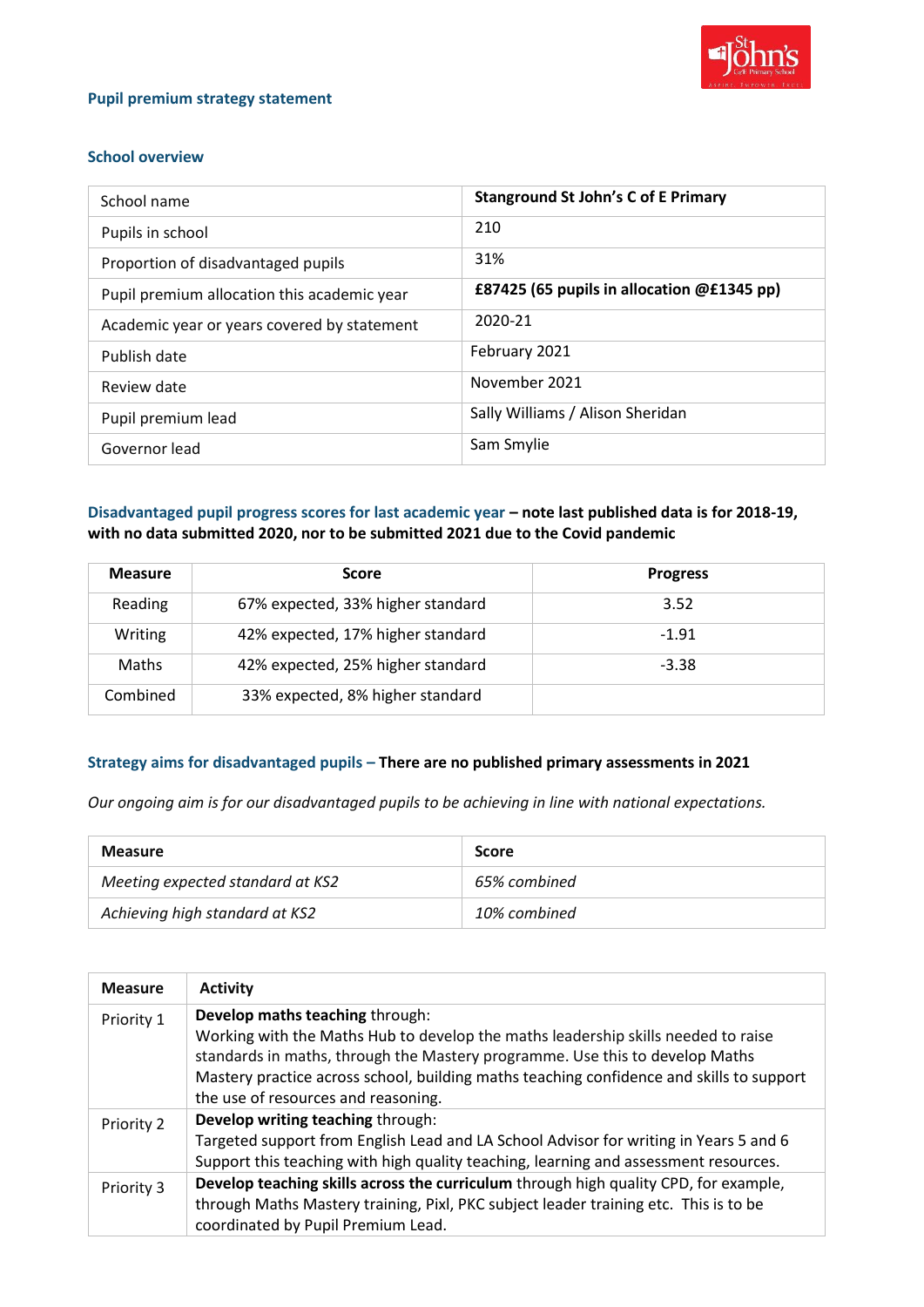

### **Pupil premium strategy statement**

### **School overview**

| School name                                 | <b>Stanground St John's C of E Primary</b> |
|---------------------------------------------|--------------------------------------------|
| Pupils in school                            | 210                                        |
| Proportion of disadvantaged pupils          | 31%                                        |
| Pupil premium allocation this academic year | £87425 (65 pupils in allocation @£1345 pp) |
| Academic year or years covered by statement | 2020-21                                    |
| Publish date                                | February 2021                              |
| Review date                                 | November 2021                              |
| Pupil premium lead                          | Sally Williams / Alison Sheridan           |
| Governor lead                               | Sam Smylie                                 |

## **Disadvantaged pupil progress scores for last academic year – note last published data is for 2018-19, with no data submitted 2020, nor to be submitted 2021 due to the Covid pandemic**

| <b>Measure</b> | <b>Score</b>                      | <b>Progress</b> |
|----------------|-----------------------------------|-----------------|
| Reading        | 67% expected, 33% higher standard | 3.52            |
| Writing        | 42% expected, 17% higher standard | $-1.91$         |
| Maths          | 42% expected, 25% higher standard | $-3.38$         |
| Combined       | 33% expected, 8% higher standard  |                 |

### **Strategy aims for disadvantaged pupils – There are no published primary assessments in 2021**

*Our ongoing aim is for our disadvantaged pupils to be achieving in line with national expectations.*

| <b>Measure</b>                   | <b>Score</b> |
|----------------------------------|--------------|
| Meeting expected standard at KS2 | 65% combined |
| Achieving high standard at KS2   | 10% combined |

| <b>Measure</b> | <b>Activity</b>                                                                                                                                                                                                                                                                                                                         |
|----------------|-----------------------------------------------------------------------------------------------------------------------------------------------------------------------------------------------------------------------------------------------------------------------------------------------------------------------------------------|
| Priority 1     | Develop maths teaching through:<br>Working with the Maths Hub to develop the maths leadership skills needed to raise<br>standards in maths, through the Mastery programme. Use this to develop Maths<br>Mastery practice across school, building maths teaching confidence and skills to support<br>the use of resources and reasoning. |
| Priority 2     | Develop writing teaching through:<br>Targeted support from English Lead and LA School Advisor for writing in Years 5 and 6<br>Support this teaching with high quality teaching, learning and assessment resources.                                                                                                                      |
| Priority 3     | Develop teaching skills across the curriculum through high quality CPD, for example,<br>through Maths Mastery training, Pixl, PKC subject leader training etc. This is to be<br>coordinated by Pupil Premium Lead.                                                                                                                      |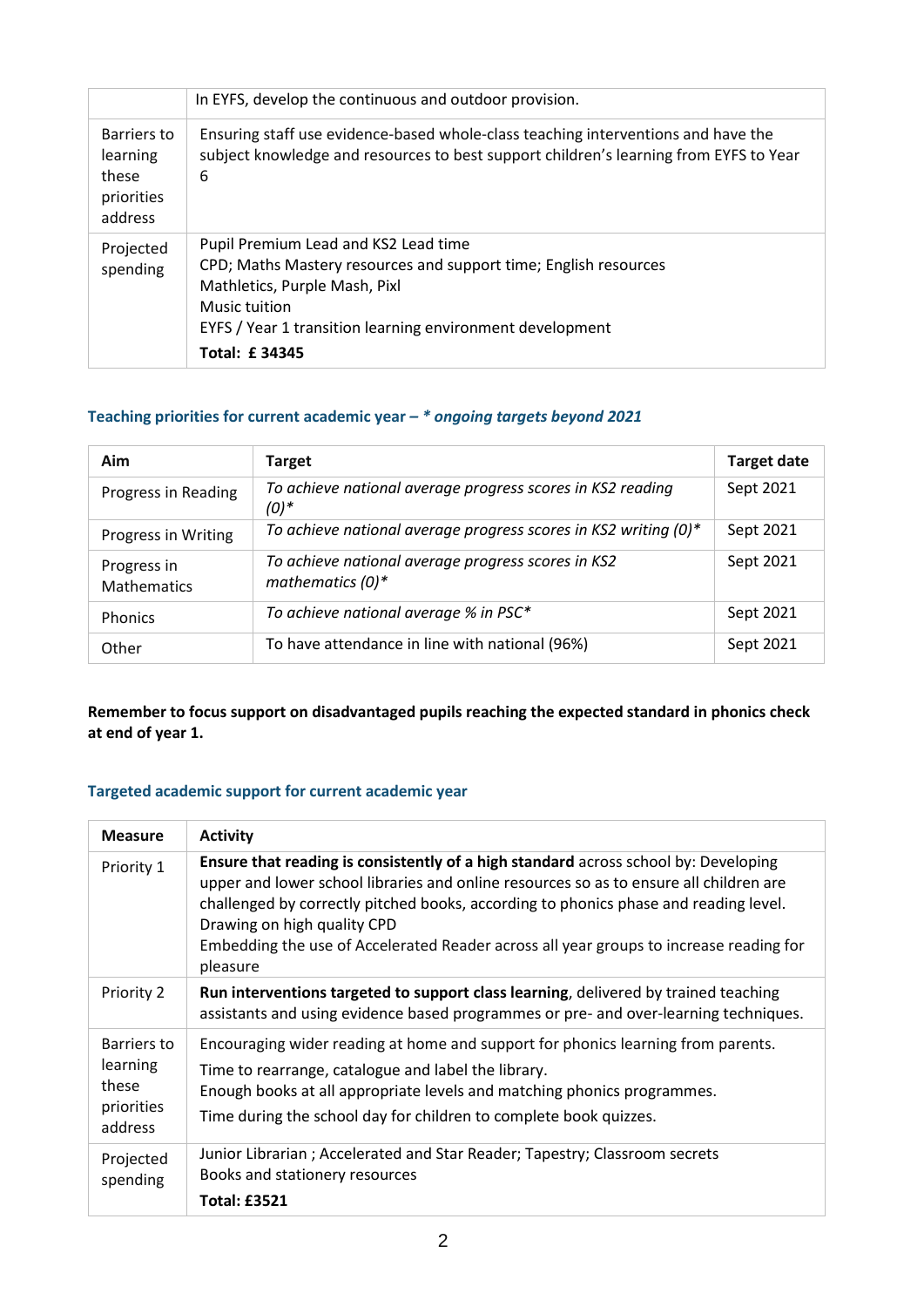|                                                           | In EYFS, develop the continuous and outdoor provision.                                                                                                                                                                                          |
|-----------------------------------------------------------|-------------------------------------------------------------------------------------------------------------------------------------------------------------------------------------------------------------------------------------------------|
| Barriers to<br>learning<br>these<br>priorities<br>address | Ensuring staff use evidence-based whole-class teaching interventions and have the<br>subject knowledge and resources to best support children's learning from EYFS to Year<br>6                                                                 |
| Projected<br>spending                                     | Pupil Premium Lead and KS2 Lead time<br>CPD; Maths Mastery resources and support time; English resources<br>Mathletics, Purple Mash, Pixl<br>Music tuition<br>EYFS / Year 1 transition learning environment development<br><b>Total: £34345</b> |

# **Teaching priorities for current academic year** *– \* ongoing targets beyond 2021*

| Aim                               | <b>Target</b>                                                             | <b>Target date</b> |
|-----------------------------------|---------------------------------------------------------------------------|--------------------|
| Progress in Reading               | To achieve national average progress scores in KS2 reading<br>$(0)*$      | Sept 2021          |
| Progress in Writing               | To achieve national average progress scores in KS2 writing (0)*           | Sept 2021          |
| Progress in<br><b>Mathematics</b> | To achieve national average progress scores in KS2<br>mathematics $(0)^*$ | Sept 2021          |
| <b>Phonics</b>                    | To achieve national average % in PSC*                                     | Sept 2021          |
| Other                             | To have attendance in line with national (96%)                            | Sept 2021          |

**Remember to focus support on disadvantaged pupils reaching the expected standard in phonics check at end of year 1.**

# **Targeted academic support for current academic year**

| <b>Measure</b>                                            | <b>Activity</b>                                                                                                                                                                                                                                                                                                                                                                                            |
|-----------------------------------------------------------|------------------------------------------------------------------------------------------------------------------------------------------------------------------------------------------------------------------------------------------------------------------------------------------------------------------------------------------------------------------------------------------------------------|
| Priority 1                                                | Ensure that reading is consistently of a high standard across school by: Developing<br>upper and lower school libraries and online resources so as to ensure all children are<br>challenged by correctly pitched books, according to phonics phase and reading level.<br>Drawing on high quality CPD<br>Embedding the use of Accelerated Reader across all year groups to increase reading for<br>pleasure |
| Priority 2                                                | Run interventions targeted to support class learning, delivered by trained teaching<br>assistants and using evidence based programmes or pre- and over-learning techniques.                                                                                                                                                                                                                                |
| Barriers to<br>learning<br>these<br>priorities<br>address | Encouraging wider reading at home and support for phonics learning from parents.<br>Time to rearrange, catalogue and label the library.<br>Enough books at all appropriate levels and matching phonics programmes.<br>Time during the school day for children to complete book quizzes.                                                                                                                    |
| Projected<br>spending                                     | Junior Librarian; Accelerated and Star Reader; Tapestry; Classroom secrets<br>Books and stationery resources<br><b>Total: £3521</b>                                                                                                                                                                                                                                                                        |